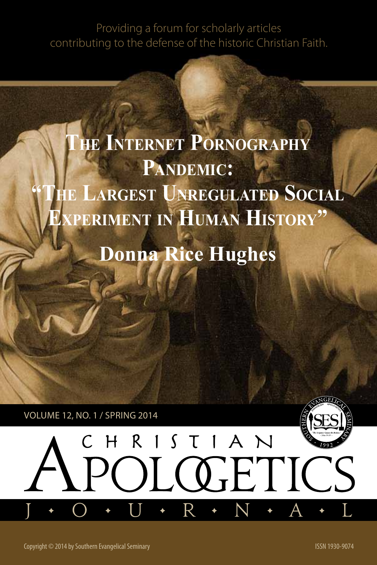Providing a forum for scholarly articles contributing to the defense of the historic Christian Faith.

# **The Internet Pornography** PANDEMIC: **"The Largest Unregulated Social Experiment in Human History"**

# **Donna Rice Hughes**

 $CHRISTIAN$ 

POLOGETIC

Volume 12, no. 1 / SPRING 2014



Copyright © 2014 by Southern Evangelical Seminary ISSN 1930-9074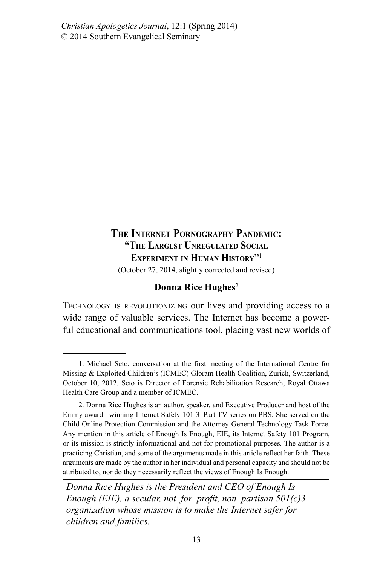*Christian Apologetics Journal*, 12:1 (Spring 2014) © 2014 Southern Evangelical Seminary

# **The Internet Pornography Pandemic: "The Largest Unregulated Social Experiment in Human History"**<sup>1</sup>

(October 27, 2014, slightly corrected and revised)

#### **Donna Rice Hughes**<sup>2</sup>

Technology is revolutionizing our lives and providing access to a wide range of valuable services. The Internet has become a powerful educational and communications tool, placing vast new worlds of

<sup>1.</sup> Michael Seto, conversation at the first meeting of the International Centre for Missing & Exploited Children's (ICMEC) Gloram Health Coalition, Zurich, Switzerland, October 10, 2012. Seto is Director of Forensic Rehabilitation Research, Royal Ottawa Health Care Group and a member of ICMEC.

<sup>2.</sup> Donna Rice Hughes is an author, speaker, and Executive Producer and host of the Emmy award –winning Internet Safety 101 3–Part TV series on PBS. She served on the Child Online Protection Commission and the Attorney General Technology Task Force. Any mention in this article of Enough Is Enough, EIE, its Internet Safety 101 Program, or its mission is strictly informational and not for promotional purposes. The author is a practicing Christian, and some of the arguments made in this article reflect her faith. These arguments are made by the author in her individual and personal capacity and should not be attributed to, nor do they necessarily reflect the views of Enough Is Enough.

*Donna Rice Hughes is the President and CEO of Enough Is Enough (EIE), a secular, not–for–profit, non–partisan 501(c)3 organization whose mission is to make the Internet safer for children and families.*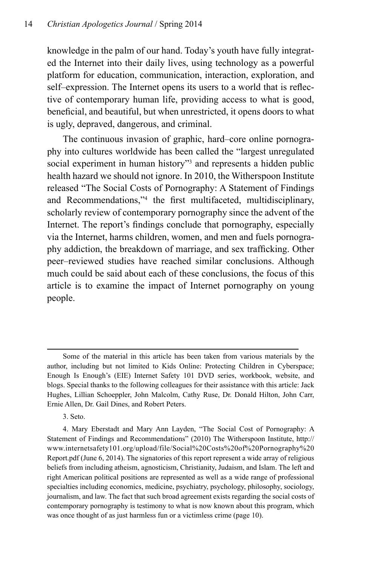knowledge in the palm of our hand. Today's youth have fully integrated the Internet into their daily lives, using technology as a powerful platform for education, communication, interaction, exploration, and self–expression. The Internet opens its users to a world that is reflective of contemporary human life, providing access to what is good, beneficial, and beautiful, but when unrestricted, it opens doors to what is ugly, depraved, dangerous, and criminal.

The continuous invasion of graphic, hard–core online pornography into cultures worldwide has been called the "largest unregulated social experiment in human history"<sup>3</sup> and represents a hidden public health hazard we should not ignore. In 2010, the Witherspoon Institute released "The Social Costs of Pornography: A Statement of Findings and Recommendations,"4 the first multifaceted, multidisciplinary, scholarly review of contemporary pornography since the advent of the Internet. The report's findings conclude that pornography, especially via the Internet, harms children, women, and men and fuels pornography addiction, the breakdown of marriage, and sex trafficking. Other peer–reviewed studies have reached similar conclusions. Although much could be said about each of these conclusions, the focus of this article is to examine the impact of Internet pornography on young people.

3. Seto.

Some of the material in this article has been taken from various materials by the author, including but not limited to Kids Online: Protecting Children in Cyberspace; Enough Is Enough's (EIE) Internet Safety 101 DVD series, workbook, website, and blogs. Special thanks to the following colleagues for their assistance with this article: Jack Hughes, Lillian Schoeppler, John Malcolm, Cathy Ruse, Dr. Donald Hilton, John Carr, Ernie Allen, Dr. Gail Dines, and Robert Peters.

<sup>4.</sup> Mary Eberstadt and Mary Ann Layden, "The Social Cost of Pornography: A Statement of Findings and Recommendations" (2010) The Witherspoon Institute, http:// www.internetsafety101.org/upload/file/Social%20Costs%20of%20Pornography%20 Report.pdf (June 6, 2014). The signatories of this report represent a wide array of religious beliefs from including atheism, agnosticism, Christianity, Judaism, and Islam. The left and right American political positions are represented as well as a wide range of professional specialties including economics, medicine, psychiatry, psychology, philosophy, sociology, journalism, and law. The fact that such broad agreement exists regarding the social costs of contemporary pornography is testimony to what is now known about this program, which was once thought of as just harmless fun or a victimless crime (page 10).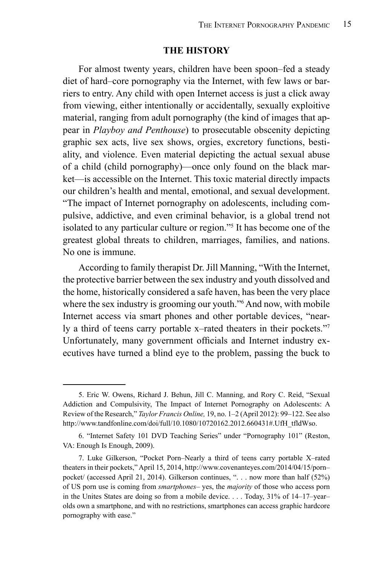#### **The History**

For almost twenty years, children have been spoon–fed a steady diet of hard–core pornography via the Internet, with few laws or barriers to entry. Any child with open Internet access is just a click away from viewing, either intentionally or accidentally, sexually exploitive material, ranging from adult pornography (the kind of images that appear in *Playboy and Penthouse*) to prosecutable obscenity depicting graphic sex acts, live sex shows, orgies, excretory functions, bestiality, and violence. Even material depicting the actual sexual abuse of a child (child pornography)—once only found on the black market—is accessible on the Internet. This toxic material directly impacts our children's health and mental, emotional, and sexual development. "The impact of Internet pornography on adolescents, including compulsive, addictive, and even criminal behavior, is a global trend not isolated to any particular culture or region."5 It has become one of the greatest global threats to children, marriages, families, and nations. No one is immune.

According to family therapist Dr. Jill Manning, "With the Internet, the protective barrier between the sex industry and youth dissolved and the home, historically considered a safe haven, has been the very place where the sex industry is grooming our youth."<sup>6</sup> And now, with mobile Internet access via smart phones and other portable devices, "nearly a third of teens carry portable x–rated theaters in their pockets."7 Unfortunately, many government officials and Internet industry executives have turned a blind eye to the problem, passing the buck to

<sup>5.</sup> Eric W. Owens, Richard J. Behun, Jill C. Manning, and Rory C. Reid, "Sexual Addiction and Compulsivity, The Impact of Internet Pornography on Adolescents: A Review of the Research," *Taylor Francis Online,* 19, no. 1–2 (April 2012): 99–122. See also http://www.tandfonline.com/doi/full/10.1080/10720162.2012.660431#.UfH\_tfldWso.

<sup>6. &</sup>quot;Internet Safety 101 DVD Teaching Series" under "Pornography 101" (Reston, VA: Enough Is Enough, 2009).

<sup>7.</sup> Luke Gilkerson, "Pocket Porn–Nearly a third of teens carry portable X–rated theaters in their pockets," April 15, 2014, http://www.covenanteyes.com/2014/04/15/porn– pocket/ (accessed April 21, 2014). Gilkerson continues, ". . . now more than half (52%) of US porn use is coming from *smartphones–* yes, the *majority* of those who access porn in the Unites States are doing so from a mobile device. . . . Today, 31% of 14–17–year– olds own a smartphone, and with no restrictions, smartphones can access graphic hardcore pornography with ease."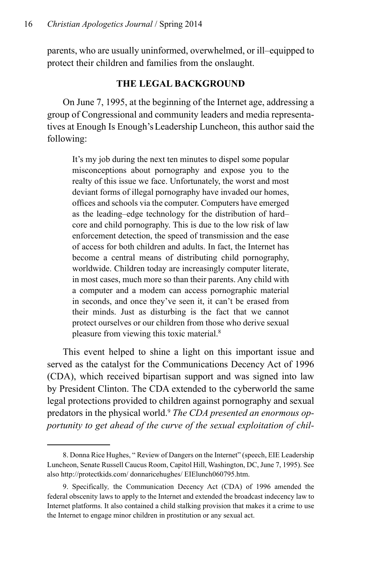parents, who are usually uninformed, overwhelmed, or ill–equipped to protect their children and families from the onslaught.

## **The Legal Background**

On June 7, 1995, at the beginning of the Internet age, addressing a group of Congressional and community leaders and media representatives at Enough Is Enough'sLeadership Luncheon, this author said the following:

It's my job during the next ten minutes to dispel some popular misconceptions about pornography and expose you to the realty of this issue we face. Unfortunately, the worst and most deviant forms of illegal pornography have invaded our homes, offices and schools via the computer. Computers have emerged as the leading–edge technology for the distribution of hard– core and child pornography. This is due to the low risk of law enforcement detection, the speed of transmission and the ease of access for both children and adults. In fact, the Internet has become a central means of distributing child pornography, worldwide. Children today are increasingly computer literate, in most cases, much more so than their parents. Any child with a computer and a modem can access pornographic material in seconds, and once they've seen it, it can't be erased from their minds. Just as disturbing is the fact that we cannot protect ourselves or our children from those who derive sexual pleasure from viewing this toxic material.8

This event helped to shine a light on this important issue and served as the catalyst for the Communications Decency Act of 1996 (CDA), which received bipartisan support and was signed into law by President Clinton. The CDA extended to the cyberworld the same legal protections provided to children against pornography and sexual predators in the physical world.9 *The CDA presented an enormous opportunity to get ahead of the curve of the sexual exploitation of chil-*

<sup>8.</sup> Donna Rice Hughes, " Review of Dangers on the Internet" (speech, EIE Leadership Luncheon, Senate Russell Caucus Room, Capitol Hill, Washington, DC, June 7, 1995). See also http://protectkids.com/ donnaricehughes/ EIElunch060795.htm.

<sup>9.</sup> Specifically*,* the Communication Decency Act (CDA) of 1996 amended the federal obscenity laws to apply to the Internet and extended the broadcast indecency law to Internet platforms. It also contained a child stalking provision that makes it a crime to use the Internet to engage minor children in prostitution or any sexual act.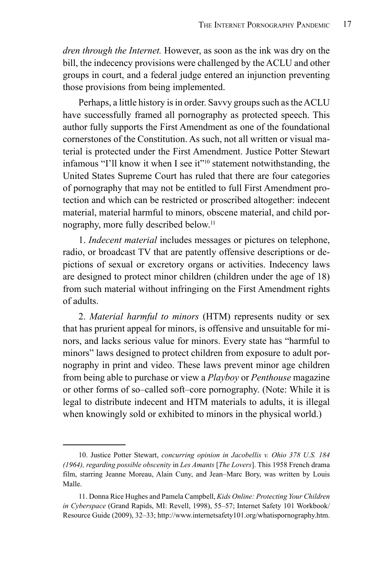*dren through the Internet.* However, as soon as the ink was dry on the bill, the indecency provisions were challenged by the ACLU and other groups in court, and a federal judge entered an injunction preventing those provisions from being implemented.

Perhaps, a little history is in order. Savvy groups such as the ACLU have successfully framed all pornography as protected speech. This author fully supports the First Amendment as one of the foundational cornerstones of the Constitution. As such, not all written or visual material is protected under the First Amendment. Justice Potter Stewart infamous "I'll know it when I see it"10 statement notwithstanding, the United States Supreme Court has ruled that there are four categories of pornography that may not be entitled to full First Amendment protection and which can be restricted or proscribed altogether: indecent material, material harmful to minors, obscene material, and child pornography, more fully described below.<sup>11</sup>

1. *Indecent material* includes messages or pictures on telephone, radio, or broadcast TV that are patently offensive descriptions or depictions of sexual or excretory organs or activities. Indecency laws are designed to protect minor children (children under the age of 18) from such material without infringing on the First Amendment rights of adults.

2. *Material harmful to minors* (HTM) represents nudity or sex that has prurient appeal for minors, is offensive and unsuitable for minors, and lacks serious value for minors. Every state has "harmful to minors" laws designed to protect children from exposure to adult pornography in print and video. These laws prevent minor age children from being able to purchase or view a *Playboy* or *Penthouse* magazine or other forms of so–called soft–core pornography. (Note: While it is legal to distribute indecent and HTM materials to adults, it is illegal when knowingly sold or exhibited to minors in the physical world.)

<sup>10.</sup> Justice Potter Stewart, *concurring opinion in Jacobellis v. Ohio 378 U.S. 184 (1964), regarding possible obscenity* in *Les Amants* [*The Lovers*]. This 1958 French drama film, starring Jeanne Moreau, Alain Cuny, and Jean–Marc Bory, was written by Louis Malle.

<sup>11.</sup> Donna Rice Hughes and Pamela Campbell, *Kids Online: Protecting Your Children in Cyberspace* (Grand Rapids, MI: Revell, 1998), 55–57; Internet Safety 101 Workbook/ Resource Guide (2009), 32–33; http://www.internetsafety101.org/whatispornography.htm.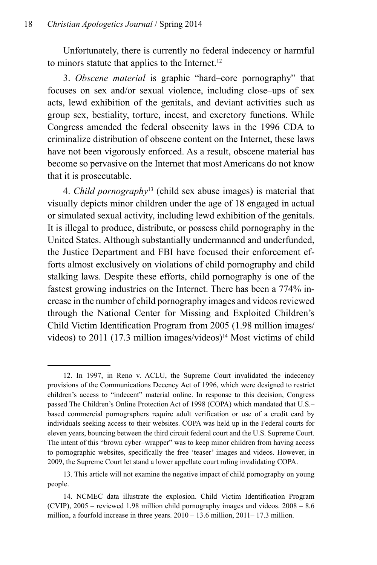Unfortunately, there is currently no federal indecency or harmful to minors statute that applies to the Internet.<sup>12</sup>

3. *Obscene material* is graphic "hard–core pornography" that focuses on sex and/or sexual violence, including close–ups of sex acts, lewd exhibition of the genitals, and deviant activities such as group sex, bestiality, torture, incest, and excretory functions. While Congress amended the federal obscenity laws in the 1996 CDA to criminalize distribution of obscene content on the Internet, these laws have not been vigorously enforced. As a result, obscene material has become so pervasive on the Internet that most Americans do not know that it is prosecutable.

4. *Child pornography*13 (child sex abuse images) is material that visually depicts minor children under the age of 18 engaged in actual or simulated sexual activity, including lewd exhibition of the genitals. It is illegal to produce, distribute, or possess child pornography in the United States. Although substantially undermanned and underfunded, the Justice Department and FBI have focused their enforcement efforts almost exclusively on violations of child pornography and child stalking laws. Despite these efforts, child pornography is one of the fastest growing industries on the Internet. There has been a 774% increase in the number of child pornography images and videos reviewed through the National Center for Missing and Exploited Children's Child Victim Identification Program from 2005 (1.98 million images/ videos) to 2011 (17.3 million images/videos)<sup>14</sup> Most victims of child

<sup>12.</sup> In 1997, in Reno v. ACLU, the Supreme Court invalidated the indecency provisions of the Communications Decency Act of 1996, which were designed to restrict children's access to "indecent" material online. In response to this decision, Congress passed The Children's Online Protection Act of 1998 (COPA) which mandated that U.S.– based commercial pornographers require adult verification or use of a credit card by individuals seeking access to their websites. COPA was held up in the Federal courts for eleven years, bouncing between the third circuit federal court and the U.S. Supreme Court. The intent of this "brown cyber–wrapper" was to keep minor children from having access to pornographic websites, specifically the free 'teaser' images and videos. However, in 2009, the Supreme Court let stand a lower appellate court ruling invalidating COPA.

<sup>13.</sup> This article will not examine the negative impact of child pornography on young people.

<sup>14.</sup> NCMEC data illustrate the explosion. Child Victim Identification Program (CVIP), 2005 – reviewed 1.98 million child pornography images and videos. 2008 – 8.6 million, a fourfold increase in three years. 2010 – 13.6 million, 2011– 17.3 million.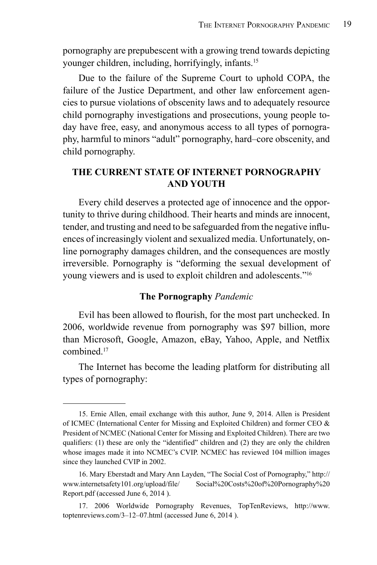pornography are prepubescent with a growing trend towards depicting younger children, including, horrifyingly, infants.15

Due to the failure of the Supreme Court to uphold COPA, the failure of the Justice Department, and other law enforcement agencies to pursue violations of obscenity laws and to adequately resource child pornography investigations and prosecutions, young people today have free, easy, and anonymous access to all types of pornography, harmful to minors "adult" pornography, hard–core obscenity, and child pornography.

### **The Current State of Internet Pornography and Youth**

Every child deserves a protected age of innocence and the opportunity to thrive during childhood. Their hearts and minds are innocent, tender, and trusting and need to be safeguarded from the negative influences of increasingly violent and sexualized media. Unfortunately, online pornography damages children, and the consequences are mostly irreversible. Pornography is "deforming the sexual development of young viewers and is used to exploit children and adolescents."16

#### **The Pornography** *Pandemic*

Evil has been allowed to flourish, for the most part unchecked. In 2006, worldwide revenue from pornography was \$97 billion, more than Microsoft, Google, Amazon, eBay, Yahoo, Apple, and Netflix combined<sup>17</sup>

The Internet has become the leading platform for distributing all types of pornography:

<sup>15.</sup> Ernie Allen, email exchange with this author, June 9, 2014. Allen is President of ICMEC (International Center for Missing and Exploited Children) and former CEO & President of NCMEC (National Center for Missing and Exploited Children). There are two qualifiers: (1) these are only the "identified" children and (2) they are only the children whose images made it into NCMEC's CVIP. NCMEC has reviewed 104 million images since they launched CVIP in 2002.

<sup>16.</sup> Mary Eberstadt and Mary Ann Layden, "The Social Cost of Pornography," http:// www.internetsafety101.org/upload/file/ Social%20Costs%20of%20Pornography%20 Report.pdf (accessed June 6, 2014 ).

<sup>17. 2006</sup> Worldwide Pornography Revenues, TopTenReviews, http://www. toptenreviews.com/3–12–07.html (accessed June 6, 2014 ).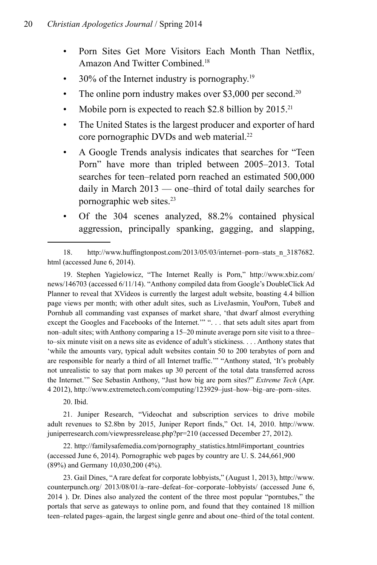- Porn Sites Get More Visitors Each Month Than Netflix, Amazon And Twitter Combined.18
- 30% of the Internet industry is pornography.<sup>19</sup>
- The online porn industry makes over \$3,000 per second.<sup>20</sup>
- Mobile porn is expected to reach  $$2.8$  billion by  $2015.^{21}$
- The United States is the largest producer and exporter of hard core pornographic DVDs and web material.<sup>22</sup>
- A Google Trends analysis indicates that searches for "Teen Porn" have more than tripled between 2005–2013. Total searches for teen–related porn reached an estimated 500,000 daily in March 2013 — one–third of total daily searches for pornographic web sites.23
- Of the 304 scenes analyzed, 88.2% contained physical aggression, principally spanking, gagging, and slapping,

19. Stephen Yagielowicz, "The Internet Really is Porn," http://www.xbiz.com/ news/146703 (accessed 6/11/14). "Anthony compiled data from Google's DoubleClick Ad Planner to reveal that XVideos is currently the largest adult website, boasting 4.4 billion page views per month; with other adult sites, such as LiveJasmin, YouPorn, Tube8 and Pornhub all commanding vast expanses of market share, 'that dwarf almost everything except the Googles and Facebooks of the Internet.'" ". . . that sets adult sites apart from non–adult sites; with Anthony comparing a 15–20 minute average porn site visit to a three– to–six minute visit on a news site as evidence of adult's stickiness. . . . Anthony states that 'while the amounts vary, typical adult websites contain 50 to 200 terabytes of porn and are responsible for nearly a third of all Internet traffic.'" "Anthony stated, 'It's probably not unrealistic to say that porn makes up 30 percent of the total data transferred across the Internet.'" See Sebastin Anthony, "Just how big are porn sites?" *Extreme Tech* (Apr. 4 2012), http://www.extremetech.com/computing/123929–just–how–big–are–porn–sites.

20. Ibid.

21. Juniper Research, "Videochat and subscription services to drive mobile adult revenues to \$2.8bn by 2015, Juniper Report finds," Oct. 14, 2010. http://www. juniperresearch.com/viewpressrelease.php?pr=210 (accessed December 27, 2012).

22. http://familysafemedia.com/pornography\_statistics.html#important\_countries (accessed June 6, 2014). Pornographic web pages by country are U. S. 244,661,900 (89%) and Germany 10,030,200 (4%).

23. Gail Dines, "A rare defeat for corporate lobbyists," (August 1, 2013), http://www. counterpunch.org/ 2013/08/01/a–rare–defeat–for–corporate–lobbyists/ (accessed June 6, 2014 ). Dr. Dines also analyzed the content of the three most popular "porntubes," the portals that serve as gateways to online porn, and found that they contained 18 million teen–related pages–again, the largest single genre and about one–third of the total content.

<sup>18.</sup> http://www.huffingtonpost.com/2013/05/03/internet–porn–stats\_n\_3187682. html (accessed June 6, 2014).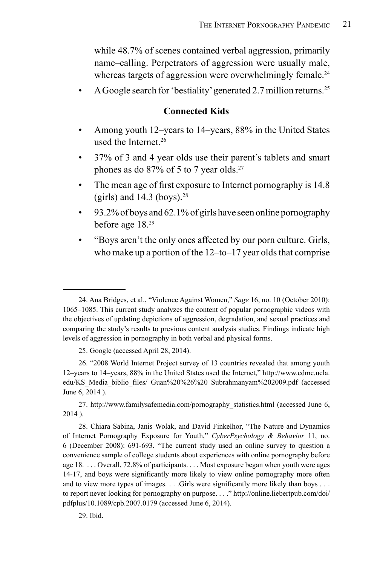while 48.7% of scenes contained verbal aggression, primarily name–calling. Perpetrators of aggression were usually male, whereas targets of aggression were overwhelmingly female.<sup>24</sup>

A Google search for 'bestiality' generated 2.7 million returns.<sup>25</sup>

#### **Connected Kids**

- Among youth 12–years to 14–years, 88% in the United States used the Internet.<sup>26</sup>
- 37% of 3 and 4 year olds use their parent's tablets and smart phones as do 87% of 5 to 7 year olds.27
- The mean age of first exposure to Internet pornography is 14.8 (girls) and  $14.3$  (boys).<sup>28</sup>
- 93.2% of boys and 62.1% of girls have seen online pornography before age 18.29
- "Boys aren't the only ones affected by our porn culture. Girls, who make up a portion of the 12–to–17 year olds that comprise

27. http://www.familysafemedia.com/pornography\_statistics.html (accessed June 6, 2014 ).

28. Chiara Sabina, Janis Wolak, and David Finkelhor, "The Nature and Dynamics of Internet Pornography Exposure for Youth," *CyberPsychology & Behavior* 11, no. 6 (December 2008): 691-693. "The current study used an online survey to question a convenience sample of college students about experiences with online pornography before age 18. . . . Overall, 72.8% of participants. . . . Most exposure began when youth were ages 14-17, and boys were significantly more likely to view online pornography more often and to view more types of images. . . .Girls were significantly more likely than boys . . . to report never looking for pornography on purpose. . . ." http://online.liebertpub.com/doi/ pdfplus/10.1089/cpb.2007.0179 (accessed June 6, 2014).

29. Ibid.

<sup>24.</sup> Ana Bridges, et al., "Violence Against Women," *Sage* 16, no. 10 (October 2010): 1065–1085. This current study analyzes the content of popular pornographic videos with the objectives of updating depictions of aggression, degradation, and sexual practices and comparing the study's results to previous content analysis studies. Findings indicate high levels of aggression in pornography in both verbal and physical forms.

<sup>25.</sup> Google (accessed April 28, 2014).

<sup>26. &</sup>quot;2008 World Internet Project survey of 13 countries revealed that among youth 12–years to 14–years, 88% in the United States used the Internet," http://www.cdmc.ucla. edu/KS\_Media\_biblio\_files/ Guan%20%26%20 Subrahmanyam%202009.pdf (accessed June 6, 2014 ).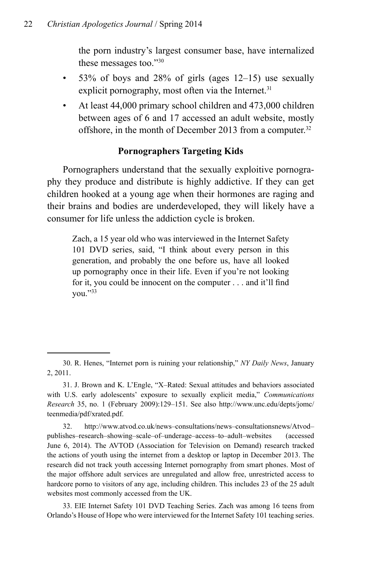the porn industry's largest consumer base, have internalized these messages too."30

- $\bullet$  53% of boys and 28% of girls (ages 12–15) use sexually explicit pornography, most often via the Internet.<sup>31</sup>
- At least 44,000 primary school children and 473,000 children between ages of 6 and 17 accessed an adult website, mostly offshore, in the month of December 2013 from a computer.<sup>32</sup>

# **Pornographers Targeting Kids**

Pornographers understand that the sexually exploitive pornography they produce and distribute is highly addictive. If they can get children hooked at a young age when their hormones are raging and their brains and bodies are underdeveloped, they will likely have a consumer for life unless the addiction cycle is broken.

Zach, a 15 year old who was interviewed in the Internet Safety 101 DVD series, said, "I think about every person in this generation, and probably the one before us, have all looked up pornography once in their life. Even if you're not looking for it, you could be innocent on the computer . . . and it'll find you."33

<sup>30.</sup> R. Henes, "Internet porn is ruining your relationship," *NY Daily News*, January 2, 2011.

<sup>31.</sup> J. Brown and K. L'Engle, "X–Rated: Sexual attitudes and behaviors associated with U.S. early adolescents' exposure to sexually explicit media," *Communications Research* 35, no. 1 (February 2009):129–151. See also http://www.unc.edu/depts/jomc/ teenmedia/pdf/xrated.pdf.

<sup>32.</sup> http://www.atvod.co.uk/news–consultations/news–consultationsnews/Atvod– publishes–research–showing–scale–of–underage–access–to–adult–websites (accessed June 6, 2014). The AVTOD (Association for Television on Demand) research tracked the actions of youth using the internet from a desktop or laptop in December 2013. The research did not track youth accessing Internet pornography from smart phones. Most of the major offshore adult services are unregulated and allow free, unrestricted access to hardcore porno to visitors of any age, including children. This includes 23 of the 25 adult websites most commonly accessed from the UK.

<sup>33.</sup> EIE Internet Safety 101 DVD Teaching Series. Zach was among 16 teens from Orlando's House of Hope who were interviewed for the Internet Safety 101 teaching series.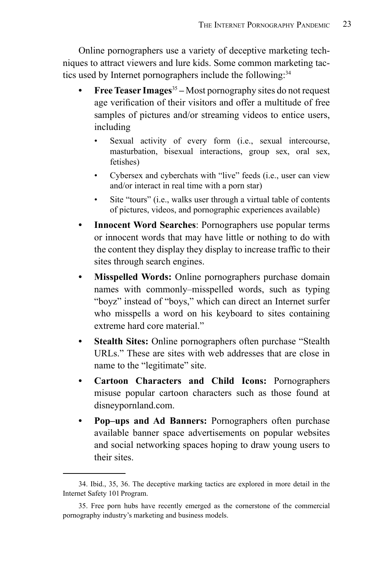Online pornographers use a variety of deceptive marketing techniques to attract viewers and lure kids. Some common marketing tactics used by Internet pornographers include the following:<sup>34</sup>

- **Free Teaser Images<sup>35</sup>** Most pornography sites do not request age verification of their visitors and offer a multitude of free samples of pictures and/or streaming videos to entice users, including
	- Sexual activity of every form (i.e., sexual intercourse, masturbation, bisexual interactions, group sex, oral sex, fetishes)
	- Cybersex and cyberchats with "live" feeds (i.e., user can view and/or interact in real time with a porn star)
	- Site "tours" (i.e., walks user through a virtual table of contents of pictures, videos, and pornographic experiences available)
- **• Innocent Word Searches**: Pornographers use popular terms or innocent words that may have little or nothing to do with the content they display they display to increase traffic to their sites through search engines.
- **Misspelled Words:** Online pornographers purchase domain names with commonly–misspelled words, such as typing "boyz" instead of "boys," which can direct an Internet surfer who misspells a word on his keyboard to sites containing extreme hard core material."
- **Stealth Sites:** Online pornographers often purchase "Stealth" URLs." These are sites with web addresses that are close in name to the "legitimate" site.
- **Cartoon Characters and Child Icons: Pornographers** misuse popular cartoon characters such as those found at disneypornland.com.
- **• Pop–ups and Ad Banners:** Pornographers often purchase available banner space advertisements on popular websites and social networking spaces hoping to draw young users to their sites.

<sup>34.</sup> Ibid., 35, 36. The deceptive marking tactics are explored in more detail in the Internet Safety 101 Program.

<sup>35.</sup> Free porn hubs have recently emerged as the cornerstone of the commercial pornography industry's marketing and business models.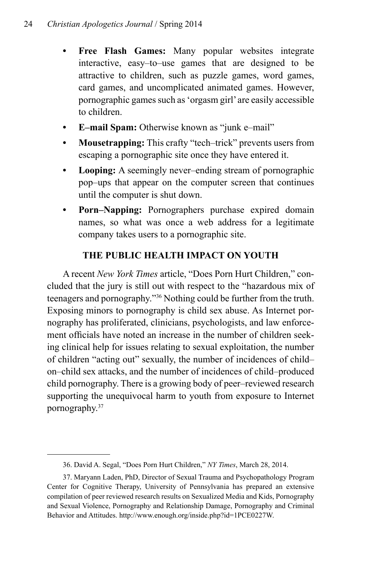- **• Free Flash Games:** Many popular websites integrate interactive, easy–to–use games that are designed to be attractive to children, such as puzzle games, word games, card games, and uncomplicated animated games. However, pornographic games such as 'orgasm girl' are easily accessible to children.
- **• E–mail Spam:** Otherwise known as "junk e–mail"
- **• Mousetrapping:** This crafty "tech–trick" prevents users from escaping a pornographic site once they have entered it.
- **Looping:** A seemingly never–ending stream of pornographic pop–ups that appear on the computer screen that continues until the computer is shut down.
- **• Porn–Napping:** Pornographers purchase expired domain names, so what was once a web address for a legitimate company takes users to a pornographic site.

# **The Public Health Impact on Youth**

A recent *New York Times* article, "Does Porn Hurt Children," concluded that the jury is still out with respect to the "hazardous mix of teenagers and pornography."36 Nothing could be further from the truth. Exposing minors to pornography is child sex abuse. As Internet pornography has proliferated, clinicians, psychologists, and law enforcement officials have noted an increase in the number of children seeking clinical help for issues relating to sexual exploitation, the number of children "acting out" sexually, the number of incidences of child– on–child sex attacks, and the number of incidences of child–produced child pornography. There is a growing body of peer–reviewed research supporting the unequivocal harm to youth from exposure to Internet pornography.37

<sup>36.</sup> David A. Segal, "Does Porn Hurt Children," *NY Times*, March 28, 2014.

<sup>37.</sup> Maryann Laden, PhD, Director of Sexual Trauma and Psychopathology Program Center for Cognitive Therapy, University of Pennsylvania has prepared an extensive compilation of peer reviewed research results on Sexualized Media and Kids, Pornography and Sexual Violence, Pornography and Relationship Damage, Pornography and Criminal Behavior and Attitudes. http://www.enough.org/inside.php?id=1PCE0227W.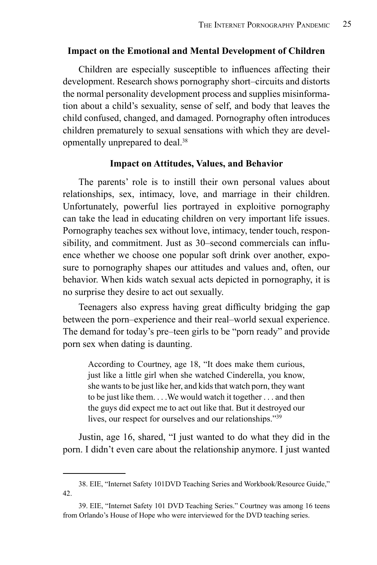#### **Impact on the Emotional and Mental Development of Children**

Children are especially susceptible to influences affecting their development. Research shows pornography short–circuits and distorts the normal personality development process and supplies misinformation about a child's sexuality, sense of self, and body that leaves the child confused, changed, and damaged. Pornography often introduces children prematurely to sexual sensations with which they are developmentally unprepared to deal.38

#### **Impact on Attitudes, Values, and Behavior**

The parents' role is to instill their own personal values about relationships, sex, intimacy, love, and marriage in their children. Unfortunately, powerful lies portrayed in exploitive pornography can take the lead in educating children on very important life issues. Pornography teaches sex without love, intimacy, tender touch, responsibility, and commitment. Just as 30–second commercials can influence whether we choose one popular soft drink over another, exposure to pornography shapes our attitudes and values and, often, our behavior. When kids watch sexual acts depicted in pornography, it is no surprise they desire to act out sexually.

Teenagers also express having great difficulty bridging the gap between the porn–experience and their real–world sexual experience. The demand for today's pre–teen girls to be "porn ready" and provide porn sex when dating is daunting.

According to Courtney, age 18, "It does make them curious, just like a little girl when she watched Cinderella, you know, she wants to be just like her, and kids that watch porn, they want to be just like them. . . .We would watch it together . . . and then the guys did expect me to act out like that. But it destroyed our lives, our respect for ourselves and our relationships."<sup>39</sup>

Justin, age 16, shared, "I just wanted to do what they did in the porn. I didn't even care about the relationship anymore. I just wanted

<sup>38.</sup> EIE, "Internet Safety 101DVD Teaching Series and Workbook/Resource Guide," 42.

<sup>39.</sup> EIE, "Internet Safety 101 DVD Teaching Series." Courtney was among 16 teens from Orlando's House of Hope who were interviewed for the DVD teaching series.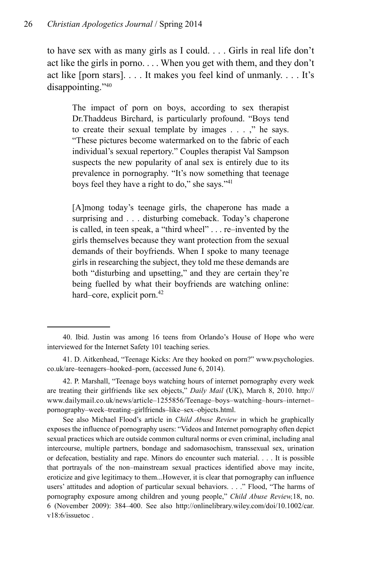to have sex with as many girls as I could. . . . Girls in real life don't act like the girls in porno. . . . When you get with them, and they don't act like [porn stars]. . . . It makes you feel kind of unmanly. . . . It's disappointing."40

The impact of porn on boys, according to sex therapist Dr.Thaddeus Birchard, is particularly profound. "Boys tend to create their sexual template by images . . . ," he says. "These pictures become watermarked on to the fabric of each individual's sexual repertory." Couples therapist Val Sampson suspects the new popularity of anal sex is entirely due to its prevalence in pornography. "It's now something that teenage boys feel they have a right to do," she says."41

[A]mong today's teenage girls, the chaperone has made a surprising and . . . disturbing comeback. Today's chaperone is called, in teen speak, a "third wheel" . . . re–invented by the girls themselves because they want protection from the sexual demands of their boyfriends. When I spoke to many teenage girls in researching the subject, they told me these demands are both "disturbing and upsetting," and they are certain they're being fuelled by what their boyfriends are watching online: hard–core, explicit porn.<sup>42</sup>

<sup>40.</sup> Ibid. Justin was among 16 teens from Orlando's House of Hope who were interviewed for the Internet Safety 101 teaching series.

<sup>41.</sup> D. Aitkenhead, "Teenage Kicks: Are they hooked on porn?" www.psychologies. co.uk/are–teenagers–hooked–porn, (accessed June 6, 2014).

<sup>42.</sup> P. Marshall, "Teenage boys watching hours of internet pornography every week are treating their girlfriends like sex objects," *Daily Mail* (UK), March 8, 2010. http:// www.dailymail.co.uk/news/article–1255856/Teenage–boys–watching–hours–internet– pornography–week–treating–girlfriends–like–sex–objects.html.

See also Michael Flood's article in *Child Abuse Review* in which he graphically exposes the influence of pornography users: "Videos and Internet pornography often depict sexual practices which are outside common cultural norms or even criminal, including anal intercourse, multiple partners, bondage and sadomasochism, transsexual sex, urination or defecation, bestiality and rape. Minors do encounter such material. . . . It is possible that portrayals of the non–mainstream sexual practices identified above may incite, eroticize and give legitimacy to them...However, it is clear that pornography can influence users' attitudes and adoption of particular sexual behaviors. . . ." Flood, "The harms of pornography exposure among children and young people," *Child Abuse Review,*18, no. 6 (November 2009): 384–400. See also http://onlinelibrary.wiley.com/doi/10.1002/car. v18:6/issuetoc .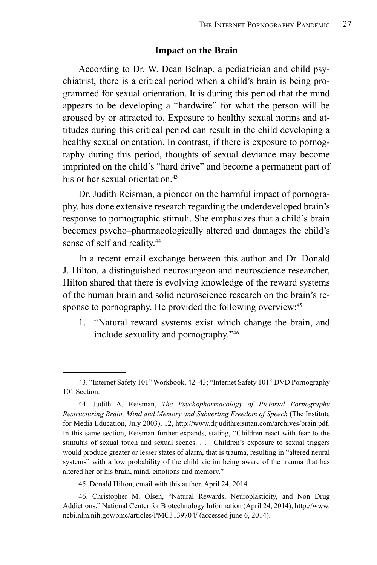#### **Impact on the Brain**

According to Dr. W. Dean Belnap, a pediatrician and child psychiatrist, there is a critical period when a child's brain is being programmed for sexual orientation. It is during this period that the mind appears to be developing a "hardwire" for what the person will be aroused by or attracted to. Exposure to healthy sexual norms and attitudes during this critical period can result in the child developing a healthy sexual orientation. In contrast, if there is exposure to pornography during this period, thoughts of sexual deviance may become imprinted on the child's "hard drive" and become a permanent part of his or her sexual orientation<sup>43</sup>

Dr. Judith Reisman, a pioneer on the harmful impact of pornography, has done extensive research regarding the underdeveloped brain's response to pornographic stimuli. She emphasizes that a child's brain becomes psycho–pharmacologically altered and damages the child's sense of self and reality.<sup>44</sup>

In a recent email exchange between this author and Dr. Donald J. Hilton, a distinguished neurosurgeon and neuroscience researcher, Hilton shared that there is evolving knowledge of the reward systems of the human brain and solid neuroscience research on the brain's response to pornography. He provided the following overview:<sup>45</sup>

1. "Natural reward systems exist which change the brain, and include sexuality and pornography."46

45. Donald Hilton, email with this author, April 24, 2014.

46. Christopher M. Olsen, "Natural Rewards, Neuroplasticity, and Non Drug Addictions," National Center for Biotechnology Information (April 24, 2014), http://www. ncbi.nlm.nih.gov/pmc/articles/PMC3139704/ (accessed june 6, 2014).

<sup>43. &</sup>quot;Internet Safety 101" Workbook, 42–43; "Internet Safety 101" DVD Pornography 101 Section.

<sup>44.</sup> Judith A. Reisman, *The Psychopharmacology of Pictorial Pornography Restructuring Brain, Mind and Memory and Subverting Freedom of Speech* (The Institute for Media Education, July 2003), 12, http://www.drjudithreisman.com/archives/brain.pdf. In this same section, Reisman further expands, stating, "Children react with fear to the stimulus of sexual touch and sexual scenes. . . . Children's exposure to sexual triggers would produce greater or lesser states of alarm, that is trauma, resulting in "altered neural systems" with a low probability of the child victim being aware of the trauma that has altered her or his brain, mind, emotions and memory."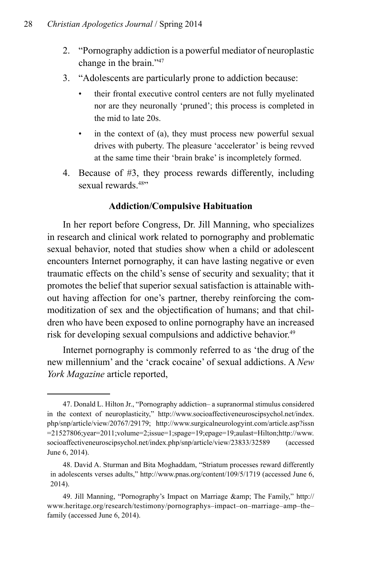- 2. "Pornography addiction is a powerful mediator of neuroplastic change in the brain."47
- 3. "Adolescents are particularly prone to addiction because:
	- their frontal executive control centers are not fully myelinated nor are they neuronally 'pruned'; this process is completed in the mid to late 20s.
	- in the context of (a), they must process new powerful sexual drives with puberty. The pleasure 'accelerator' is being revved at the same time their 'brain brake' is incompletely formed.
- 4. Because of #3, they process rewards differently, including sexual rewards<sup>48"</sup>

#### **Addiction/Compulsive Habituation**

In her report before Congress, Dr. Jill Manning, who specializes in research and clinical work related to pornography and problematic sexual behavior, noted that studies show when a child or adolescent encounters Internet pornography, it can have lasting negative or even traumatic effects on the child's sense of security and sexuality; that it promotes the belief that superior sexual satisfaction is attainable without having affection for one's partner, thereby reinforcing the commoditization of sex and the objectification of humans; and that children who have been exposed to online pornography have an increased risk for developing sexual compulsions and addictive behavior.<sup>49</sup>

Internet pornography is commonly referred to as 'the drug of the new millennium' and the 'crack cocaine' of sexual addictions. A *New York Magazine* article reported,

<sup>47.</sup> Donald L. Hilton Jr., "Pornography addiction– a supranormal stimulus considered in the context of neuroplasticity," http://www.socioaffectiveneuroscipsychol.net/index. php/snp/article/view/20767/29179; http://www.surgicalneurologyint.com/article.asp?issn =21527806;year=2011;volume=2;issue=1;spage=19;epage=19;aulast=Hilton;http://www. socioaffectiveneuroscipsychol.net/index.php/snp/article/view/23833/32589 (accessed June 6, 2014).

<sup>48.</sup> David A. Sturman and Bita Moghaddam, "Striatum processes reward differently in adolescents verses adults," http://www.pnas.org/content/109/5/1719 (accessed June 6, 2014).

<sup>49.</sup> Jill Manning, "Pornography's Impact on Marriage & amp; The Family," http:// www.heritage.org/research/testimony/pornographys–impact–on–marriage–amp–the– family (accessed June 6, 2014).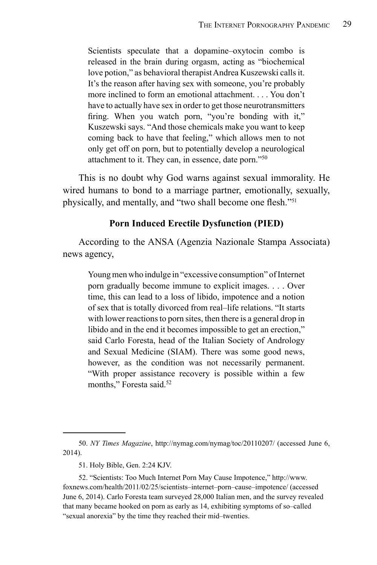Scientists speculate that a dopamine–oxytocin combo is released in the brain during orgasm, acting as "biochemical love potion," as behavioral therapist Andrea Kuszewski calls it. It's the reason after having sex with someone, you're probably more inclined to form an emotional attachment. . . . You don't have to actually have sex in order to get those neurotransmitters firing. When you watch porn, "you're bonding with it," Kuszewski says. "And those chemicals make you want to keep coming back to have that feeling," which allows men to not only get off on porn, but to potentially develop a neurological attachment to it. They can, in essence, date porn."50

This is no doubt why God warns against sexual immorality. He wired humans to bond to a marriage partner, emotionally, sexually, physically, and mentally, and "two shall become one flesh."<sup>51</sup>

#### **Porn Induced Erectile Dysfunction (PIED)**

According to the ANSA (Agenzia Nazionale Stampa Associata) news agency,

Young men who indulge in "excessive consumption" of Internet porn gradually become immune to explicit images. . . . Over time, this can lead to a loss of libido, impotence and a notion of sex that is totally divorced from real–life relations. "It starts with lower reactions to porn sites, then there is a general drop in libido and in the end it becomes impossible to get an erection," said Carlo Foresta, head of the Italian Society of Andrology and Sexual Medicine (SIAM). There was some good news, however, as the condition was not necessarily permanent. "With proper assistance recovery is possible within a few months," Foresta said.<sup>52</sup>

<sup>50.</sup> *NY Times Magazine*, http://nymag.com/nymag/toc/20110207/ (accessed June 6, 2014).

<sup>51.</sup> Holy Bible, Gen. 2:24 KJV.

<sup>52. &</sup>quot;Scientists: Too Much Internet Porn May Cause Impotence," http://www. foxnews.com/health/2011/02/25/scientists–internet–porn–cause–impotence/ (accessed June 6, 2014). Carlo Foresta team surveyed 28,000 Italian men, and the survey revealed that many became hooked on porn as early as 14, exhibiting symptoms of so–called "sexual anorexia" by the time they reached their mid–twenties.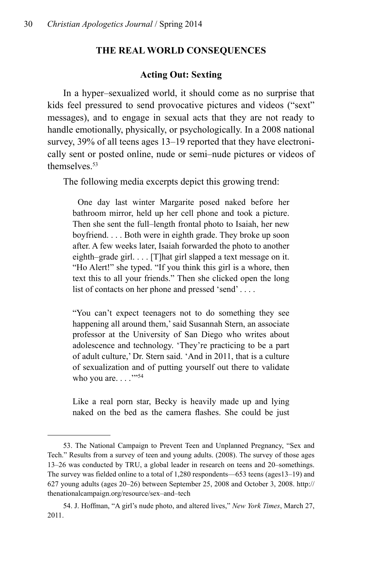#### **The Real World Consequences**

#### **Acting Out: Sexting**

In a hyper–sexualized world, it should come as no surprise that kids feel pressured to send provocative pictures and videos ("sext" messages), and to engage in sexual acts that they are not ready to handle emotionally, physically, or psychologically. In a 2008 national survey, 39% of all teens ages 13–19 reported that they have electronically sent or posted online, nude or semi–nude pictures or videos of themselves<sup>53</sup>

The following media excerpts depict this growing trend:

 One day last winter Margarite posed naked before her bathroom mirror, held up her cell phone and took a picture. Then she sent the full–length frontal photo to Isaiah, her new boyfriend. . . . Both were in eighth grade. They broke up soon after. A few weeks later, Isaiah forwarded the photo to another eighth–grade girl. . . . [T]hat girl slapped a text message on it. "Ho Alert!" she typed. "If you think this girl is a whore, then text this to all your friends." Then she clicked open the long list of contacts on her phone and pressed 'send' . . . .

"You can't expect teenagers not to do something they see happening all around them,' said Susannah Stern, an associate professor at the University of San Diego who writes about adolescence and technology. 'They're practicing to be a part of adult culture,' Dr. Stern said. 'And in 2011, that is a culture of sexualization and of putting yourself out there to validate who you are.  $\ldots$ ."

Like a real porn star, Becky is heavily made up and lying naked on the bed as the camera flashes. She could be just

<sup>53.</sup> The National Campaign to Prevent Teen and Unplanned Pregnancy, "Sex and Tech." Results from a survey of teen and young adults. (2008). The survey of those ages 13–26 was conducted by TRU, a global leader in research on teens and 20–somethings. The survey was fielded online to a total of 1,280 respondents—653 teens (ages13–19) and 627 young adults (ages 20–26) between September 25, 2008 and October 3, 2008. http:// thenationalcampaign.org/resource/sex–and–tech

<sup>54.</sup> J. Hoffman, "A girl's nude photo, and altered lives," *New York Times*, March 27, 2011.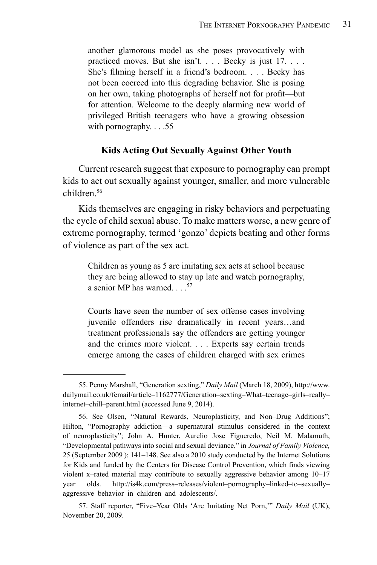another glamorous model as she poses provocatively with practiced moves. But she isn't. . . . Becky is just 17. . . . She's filming herself in a friend's bedroom. . . . Becky has not been coerced into this degrading behavior. She is posing on her own, taking photographs of herself not for profit—but for attention. Welcome to the deeply alarming new world of privileged British teenagers who have a growing obsession with pornography.  $\ldots$  .55

#### **Kids Acting Out Sexually Against Other Youth**

Current research suggest that exposure to pornography can prompt kids to act out sexually against younger, smaller, and more vulnerable children<sup>56</sup>

Kids themselves are engaging in risky behaviors and perpetuating the cycle of child sexual abuse. To make matters worse, a new genre of extreme pornography, termed 'gonzo' depicts beating and other forms of violence as part of the sex act.

Children as young as 5 are imitating sex acts at school because they are being allowed to stay up late and watch pornography, a senior MP has warned.  $\ldots$ <sup>57</sup>

Courts have seen the number of sex offense cases involving juvenile offenders rise dramatically in recent years…and treatment professionals say the offenders are getting younger and the crimes more violent. . . . Experts say certain trends emerge among the cases of children charged with sex crimes

<sup>55.</sup> Penny Marshall, "Generation sexting," *Daily Mail* (March 18, 2009), http://www. dailymail.co.uk/femail/article–1162777/Generation–sexting–What–teenage–girls–really– internet–chill–parent.html (accessed June 9, 2014).

<sup>56.</sup> See Olsen, "Natural Rewards, Neuroplasticity, and Non–Drug Additions"; Hilton, "Pornography addiction—a supernatural stimulus considered in the context of neuroplasticity"; John A. Hunter, Aurelio Jose Figueredo, Neil M. Malamuth, "Developmental pathways into social and sexual deviance," in *Journal of Family Violence,*  25 (September 2009 ): 141–148. See also a 2010 study conducted by the Internet Solutions for Kids and funded by the Centers for Disease Control Prevention, which finds viewing violent x–rated material may contribute to sexually aggressive behavior among 10–17 year olds. http://is4k.com/press–releases/violent–pornography–linked–to–sexually– aggressive–behavior–in–children–and–adolescents/.

<sup>57.</sup> Staff reporter, "Five–Year Olds 'Are Imitating Net Porn,'" *Daily Mail* (UK), November 20, 2009.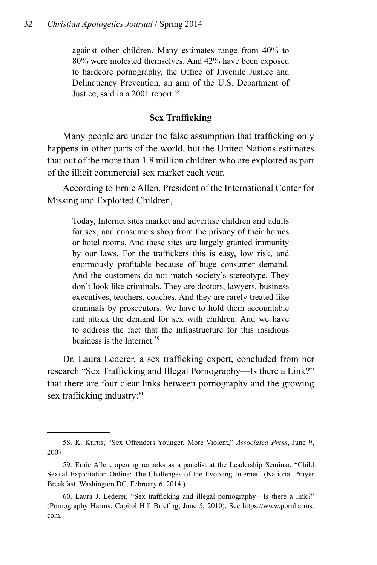against other children. Many estimates range from 40% to 80% were molested themselves. And 42% have been exposed to hardcore pornography, the Office of Juvenile Justice and Delinquency Prevention, an arm of the U.S. Department of Justice, said in a 2001 report.<sup>58</sup>

#### **Sex Trafficking**

Many people are under the false assumption that trafficking only happens in other parts of the world, but the United Nations estimates that out of the more than 1.8 million children who are exploited as part of the illicit commercial sex market each year.

According to Ernie Allen, President of the International Center for Missing and Exploited Children,

Today, Internet sites market and advertise children and adults for sex, and consumers shop from the privacy of their homes or hotel rooms. And these sites are largely granted immunity by our laws. For the traffickers this is easy, low risk, and enormously profitable because of huge consumer demand. And the customers do not match society's stereotype. They don't look like criminals. They are doctors, lawyers, business executives, teachers, coaches. And they are rarely treated like criminals by prosecutors. We have to hold them accountable and attack the demand for sex with children. And we have to address the fact that the infrastructure for this insidious business is the Internet.<sup>59</sup>

Dr. Laura Lederer, a sex trafficking expert, concluded from her research "Sex Trafficking and Illegal Pornography—Is there a Link?" that there are four clear links between pornography and the growing sex trafficking industry:<sup>60</sup>

<sup>58.</sup> K. Kurtis, "Sex Offenders Younger, More Violent," *Associated Press*, June 9, 2007.

<sup>59.</sup> Ernie Allen, opening remarks as a panelist at the Leadership Seminar, "Child Sexual Exploitation Online: The Challenges of the Evolving Internet" (National Prayer Breakfast, Washington DC, February 6, 2014.)

<sup>60.</sup> Laura J. Lederer, "Sex trafficking and illegal pornography—Is there a link?" (Pornography Harms: Capitol Hill Briefing, June 5, 2010). See https://www.pornharms. com.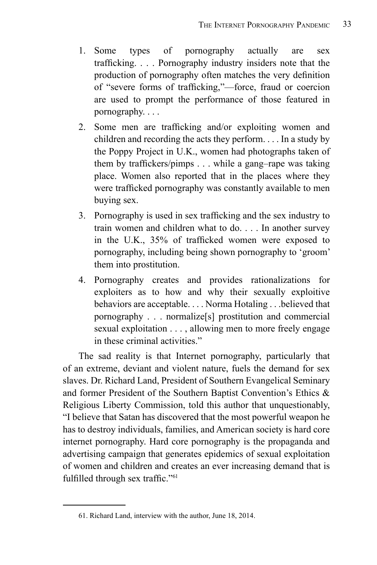- 1. Some types of pornography actually are sex trafficking. . . . Pornography industry insiders note that the production of pornography often matches the very definition of "severe forms of trafficking,"—force, fraud or coercion are used to prompt the performance of those featured in pornography. . . .
- 2. Some men are trafficking and/or exploiting women and children and recording the acts they perform. . . . In a study by the Poppy Project in U.K., women had photographs taken of them by traffickers/pimps . . . while a gang–rape was taking place. Women also reported that in the places where they were trafficked pornography was constantly available to men buying sex.
- 3. Pornography is used in sex trafficking and the sex industry to train women and children what to do. . . . In another survey in the U.K., 35% of trafficked women were exposed to pornography, including being shown pornography to 'groom' them into prostitution.
- 4. Pornography creates and provides rationalizations for exploiters as to how and why their sexually exploitive behaviors are acceptable. . . . Norma Hotaling . . .believed that pornography . . . normalize[s] prostitution and commercial sexual exploitation . . . , allowing men to more freely engage in these criminal activities."

The sad reality is that Internet pornography, particularly that of an extreme, deviant and violent nature, fuels the demand for sex slaves. Dr. Richard Land, President of Southern Evangelical Seminary and former President of the Southern Baptist Convention's Ethics & Religious Liberty Commission, told this author that unquestionably, "I believe that Satan has discovered that the most powerful weapon he has to destroy individuals, families, and American society is hard core internet pornography. Hard core pornography is the propaganda and advertising campaign that generates epidemics of sexual exploitation of women and children and creates an ever increasing demand that is fulfilled through sex traffic."<sup>61</sup>

<sup>61.</sup> Richard Land, interview with the author, June 18, 2014.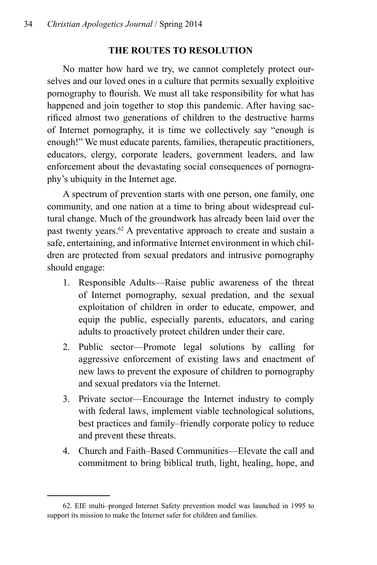# **The Routes to Resolution**

No matter how hard we try, we cannot completely protect ourselves and our loved ones in a culture that permits sexually exploitive pornography to flourish. We must all take responsibility for what has happened and join together to stop this pandemic. After having sacrificed almost two generations of children to the destructive harms of Internet pornography, it is time we collectively say "enough is enough!" We must educate parents, families, therapeutic practitioners, educators, clergy, corporate leaders, government leaders, and law enforcement about the devastating social consequences of pornography's ubiquity in the Internet age.

A spectrum of prevention starts with one person, one family, one community, and one nation at a time to bring about widespread cultural change. Much of the groundwork has already been laid over the past twenty years.62 A preventative approach to create and sustain a safe, entertaining, and informative Internet environment in which children are protected from sexual predators and intrusive pornography should engage:

- 1. Responsible Adults—Raise public awareness of the threat of Internet pornography, sexual predation, and the sexual exploitation of children in order to educate, empower, and equip the public, especially parents, educators, and caring adults to proactively protect children under their care.
- 2. Public sector—Promote legal solutions by calling for aggressive enforcement of existing laws and enactment of new laws to prevent the exposure of children to pornography and sexual predators via the Internet.
- 3. Private sector—Encourage the Internet industry to comply with federal laws, implement viable technological solutions, best practices and family–friendly corporate policy to reduce and prevent these threats.
- 4. Church and Faith–Based Communities—Elevate the call and commitment to bring biblical truth, light, healing, hope, and

<sup>62.</sup> EIE multi–pronged Internet Safety prevention model was launched in 1995 to support its mission to make the Internet safer for children and families.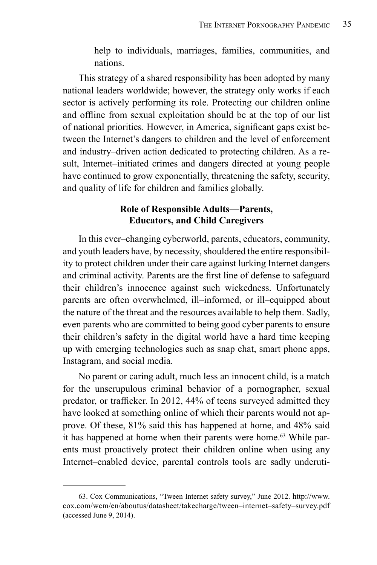help to individuals, marriages, families, communities, and nations.

This strategy of a shared responsibility has been adopted by many national leaders worldwide; however, the strategy only works if each sector is actively performing its role. Protecting our children online and offline from sexual exploitation should be at the top of our list of national priorities. However, in America, significant gaps exist between the Internet's dangers to children and the level of enforcement and industry–driven action dedicated to protecting children. As a result, Internet–initiated crimes and dangers directed at young people have continued to grow exponentially, threatening the safety, security, and quality of life for children and families globally.

#### **Role of Responsible Adults—Parents, Educators, and Child Caregivers**

In this ever–changing cyberworld, parents, educators, community, and youth leaders have, by necessity, shouldered the entire responsibility to protect children under their care against lurking Internet dangers and criminal activity. Parents are the first line of defense to safeguard their children's innocence against such wickedness. Unfortunately parents are often overwhelmed, ill–informed, or ill–equipped about the nature of the threat and the resources available to help them. Sadly, even parents who are committed to being good cyber parents to ensure their children's safety in the digital world have a hard time keeping up with emerging technologies such as snap chat, smart phone apps, Instagram, and social media.

No parent or caring adult, much less an innocent child, is a match for the unscrupulous criminal behavior of a pornographer, sexual predator, or trafficker. In 2012, 44% of teens surveyed admitted they have looked at something online of which their parents would not approve. Of these, 81% said this has happened at home, and 48% said it has happened at home when their parents were home.63 While parents must proactively protect their children online when using any Internet–enabled device, parental controls tools are sadly underuti-

<sup>63.</sup> Cox Communications, "Tween Internet safety survey," June 2012. http://www. cox.com/wcm/en/aboutus/datasheet/takecharge/tween–internet–safety–survey.pdf (accessed June 9, 2014).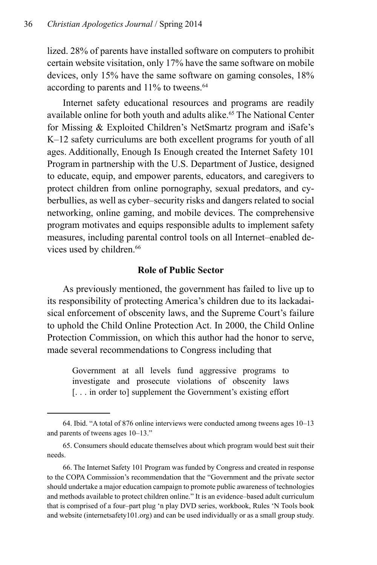lized. 28% of parents have installed software on computers to prohibit certain website visitation, only 17% have the same software on mobile devices, only 15% have the same software on gaming consoles, 18% according to parents and 11% to tweens.<sup>64</sup>

Internet safety educational resources and programs are readily available online for both youth and adults alike.<sup>65</sup> The National Center for Missing & Exploited Children's NetSmartz program and iSafe's K–12 safety curriculums are both excellent programs for youth of all ages. Additionally, Enough Is Enough created the Internet Safety 101 Programin partnership with the U.S. Department of Justice, designed to educate, equip, and empower parents, educators, and caregivers to protect children from online pornography, sexual predators, and cyberbullies, as well as cyber–security risks and dangers related to social networking, online gaming, and mobile devices. The comprehensive program motivates and equips responsible adults to implement safety measures, including parental control tools on all Internet–enabled devices used by children.<sup>66</sup>

#### **Role of Public Sector**

As previously mentioned, the government has failed to live up to its responsibility of protecting America's children due to its lackadaisical enforcement of obscenity laws, and the Supreme Court's failure to uphold the Child Online Protection Act. In 2000, the Child Online Protection Commission, on which this author had the honor to serve, made several recommendations to Congress including that

Government at all levels fund aggressive programs to investigate and prosecute violations of obscenity laws [... in order to] supplement the Government's existing effort

<sup>64.</sup> Ibid. "A total of 876 online interviews were conducted among tweens ages 10–13 and parents of tweens ages 10–13."

<sup>65.</sup> Consumers should educate themselves about which program would best suit their needs.

<sup>66.</sup> The Internet Safety 101 Program was funded by Congress and created in response to the COPA Commission's recommendation that the "Government and the private sector should undertake a major education campaign to promote public awareness of technologies and methods available to protect children online." It is an evidence–based adult curriculum that is comprised of a four–part plug 'n play DVD series, workbook, Rules 'N Tools book and website (internetsafety101.org) and can be used individually or as a small group study.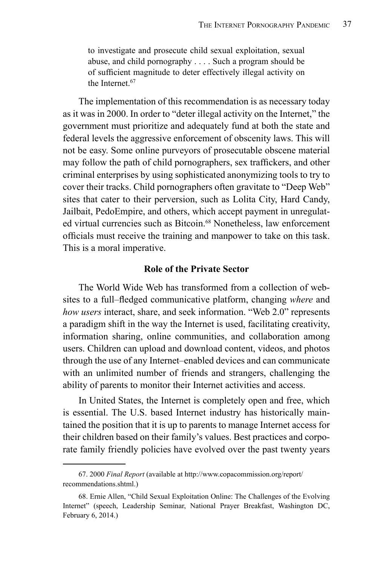to investigate and prosecute child sexual exploitation, sexual abuse, and child pornography . . . . Such a program should be of sufficient magnitude to deter effectively illegal activity on the Internet<sup>67</sup>

The implementation of this recommendation is as necessary today as it was in 2000. In order to "deter illegal activity on the Internet," the government must prioritize and adequately fund at both the state and federal levels the aggressive enforcement of obscenity laws. This will not be easy. Some online purveyors of prosecutable obscene material may follow the path of child pornographers, sex traffickers, and other criminal enterprises by using sophisticated anonymizing tools to try to cover their tracks. Child pornographers often gravitate to "Deep Web" sites that cater to their perversion, such as Lolita City, Hard Candy, Jailbait, PedoEmpire, and others, which accept payment in unregulated virtual currencies such as Bitcoin.<sup>68</sup> Nonetheless, law enforcement officials must receive the training and manpower to take on this task. This is a moral imperative.

#### **Role of the Private Sector**

The World Wide Web has transformed from a collection of websites to a full–fledged communicative platform, changing *where* and *how users* interact, share, and seek information. "Web 2.0" represents a paradigm shift in the way the Internet is used, facilitating creativity, information sharing, online communities, and collaboration among users. Children can upload and download content, videos, and photos through the use of any Internet–enabled devices and can communicate with an unlimited number of friends and strangers, challenging the ability of parents to monitor their Internet activities and access.

In United States, the Internet is completely open and free, which is essential. The U.S. based Internet industry has historically maintained the position that it is up to parents to manage Internet access for their children based on their family's values. Best practices and corporate family friendly policies have evolved over the past twenty years

<sup>67. 2000</sup> *Final Report* (available at http://www.copacommission.org/report/ recommendations.shtml.)

<sup>68.</sup> Ernie Allen, "Child Sexual Exploitation Online: The Challenges of the Evolving Internet" (speech, Leadership Seminar, National Prayer Breakfast, Washington DC, February 6, 2014.)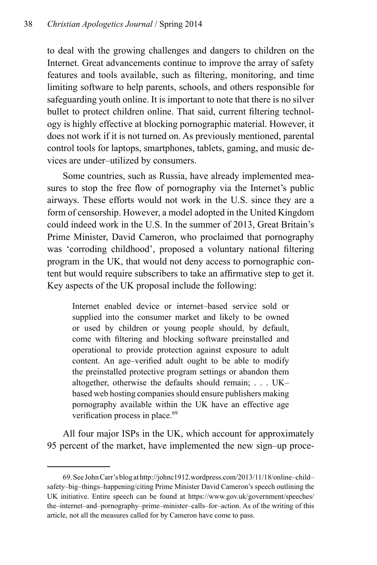to deal with the growing challenges and dangers to children on the Internet. Great advancements continue to improve the array of safety features and tools available, such as filtering, monitoring, and time limiting software to help parents, schools, and others responsible for safeguarding youth online. It is important to note that there is no silver bullet to protect children online. That said, current filtering technology is highly effective at blocking pornographic material. However, it does not work if it is not turned on. As previously mentioned, parental control tools for laptops, smartphones, tablets, gaming, and music devices are under–utilized by consumers.

Some countries, such as Russia, have already implemented measures to stop the free flow of pornography via the Internet's public airways. These efforts would not work in the U.S. since they are a form of censorship. However, a model adopted in the United Kingdom could indeed work in the U.S. In the summer of 2013, Great Britain's Prime Minister, David Cameron, who proclaimed that pornography was 'corroding childhood', proposed a voluntary national filtering program in the UK, that would not deny access to pornographic content but would require subscribers to take an affirmative step to get it. Key aspects of the UK proposal include the following:

Internet enabled device or internet–based service sold or supplied into the consumer market and likely to be owned or used by children or young people should, by default, come with filtering and blocking software preinstalled and operational to provide protection against exposure to adult content. An age–verified adult ought to be able to modify the preinstalled protective program settings or abandon them altogether, otherwise the defaults should remain; . . . UK– based web hosting companies should ensure publishers making pornography available within the UK have an effective age verification process in place.<sup>69</sup>

All four major ISPs in the UK, which account for approximately 95 percent of the market, have implemented the new sign–up proce-

<sup>69.</sup> See John Carr's blog at http://johnc1912.wordpress.com/2013/11/18/online–child– safety–big–things–happening/citing Prime Minister David Cameron's speech outlining the UK initiative. Entire speech can be found at https://www.gov.uk/government/speeches/ the–internet–and–pornography–prime–minister–calls–for–action. As of the writing of this article, not all the measures called for by Cameron have come to pass.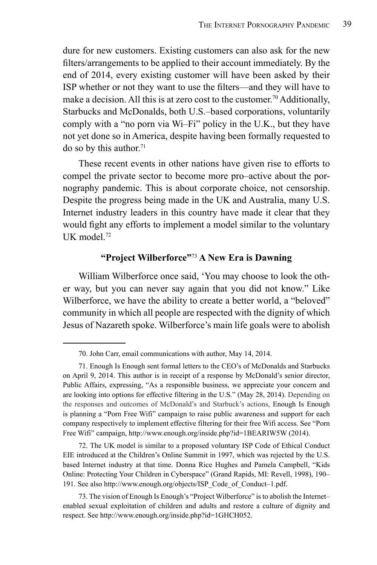dure for new customers. Existing customers can also ask for the new filters/arrangements to be applied to their account immediately. By the end of 2014, every existing customer will have been asked by their ISP whether or not they want to use the filters—and they will have to make a decision. All this is at zero cost to the customer.<sup>70</sup> Additionally, Starbucks and McDonalds, both U.S.–based corporations, voluntarily comply with a "no porn via Wi–Fi" policy in the U.K., but they have not yet done so in America, despite having been formally requested to do so by this author.<sup>71</sup>

These recent events in other nations have given rise to efforts to compel the private sector to become more pro–active about the pornography pandemic. This is about corporate choice, not censorship. Despite the progress being made in the UK and Australia, many U.S. Internet industry leaders in this country have made it clear that they would fight any efforts to implement a model similar to the voluntary UK model $^{72}$ 

#### **"Project Wilberforce"**<sup>73</sup> **A New Era is Dawning**

William Wilberforce once said, 'You may choose to look the other way, but you can never say again that you did not know." Like Wilberforce, we have the ability to create a better world, a "beloved" community in which all people are respected with the dignity of which Jesus of Nazareth spoke. Wilberforce's main life goals were to abolish

72. The UK model is similar to a proposed voluntary ISP Code of Ethical Conduct EIE introduced at the Children's Online Summit in 1997, which was rejected by the U.S. based Internet industry at that time. Donna Rice Hughes and Pamela Campbell, "Kids Online: Protecting Your Children in Cyberspace" (Grand Rapids, MI: Revell, 1998), 190– 191. See also http://www.enough.org/objects/ISP\_Code\_of\_Conduct–1.pdf.

<sup>70.</sup> John Carr, email communications with author, May 14, 2014.

<sup>71.</sup> Enough Is Enough sent formal letters to the CEO's of McDonalds and Starbucks on April 9, 2014. This author is in receipt of a response by McDonald's senior director, Public Affairs, expressing, "As a responsible business, we appreciate your concern and are looking into options for effective filtering in the U.S." (May 28, 2014). Depending on the responses and outcomes of McDonald's and Starbuck's actions, Enough Is Enough is planning a "Porn Free Wifi" campaign to raise public awareness and support for each company respectively to implement effective filtering for their free Wifi access. See "Porn Free Wifi" campaign, http://www.enough.org/inside.php?id=1BEARIW5W (2014).

<sup>73.</sup> The vision of Enough Is Enough's "Project Wilberforce" is to abolish the Internet– enabled sexual exploitation of children and adults and restore a culture of dignity and respect. See http://www.enough.org/inside.php?id=1GHCH052.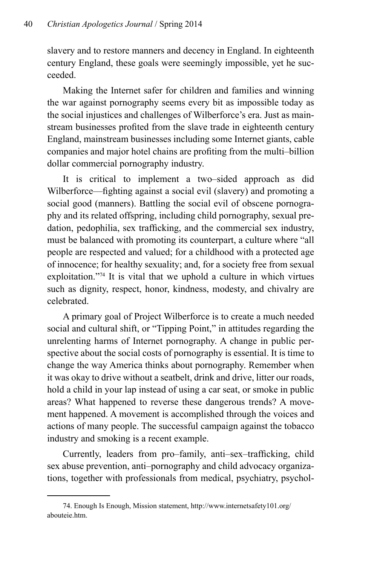slavery and to restore manners and decency in England. In eighteenth century England, these goals were seemingly impossible, yet he succeeded.

Making the Internet safer for children and families and winning the war against pornography seems every bit as impossible today as the social injustices and challenges of Wilberforce's era. Just as mainstream businesses profited from the slave trade in eighteenth century England, mainstream businesses including some Internet giants, cable companies and major hotel chains are profiting from the multi–billion dollar commercial pornography industry.

It is critical to implement a two–sided approach as did Wilberforce—fighting against a social evil (slavery) and promoting a social good (manners). Battling the social evil of obscene pornography and its related offspring, including child pornography, sexual predation, pedophilia, sex trafficking, and the commercial sex industry, must be balanced with promoting its counterpart, a culture where "all people are respected and valued; for a childhood with a protected age of innocence; for healthy sexuality; and, for a society free from sexual exploitation."74 It is vital that we uphold a culture in which virtues such as dignity, respect, honor, kindness, modesty, and chivalry are celebrated.

A primary goal of Project Wilberforce is to create a much needed social and cultural shift, or "Tipping Point," in attitudes regarding the unrelenting harms of Internet pornography. A change in public perspective about the social costs of pornography is essential. It is time to change the way America thinks about pornography. Remember when it was okay to drive without a seatbelt, drink and drive, litter our roads, hold a child in your lap instead of using a car seat, or smoke in public areas? What happened to reverse these dangerous trends? A movement happened. A movement is accomplished through the voices and actions of many people. The successful campaign against the tobacco industry and smoking is a recent example.

Currently, leaders from pro–family, anti–sex–trafficking, child sex abuse prevention, anti–pornography and child advocacy organizations, together with professionals from medical, psychiatry, psychol-

<sup>74.</sup> Enough Is Enough, Mission statement, http://www.internetsafety101.org/ abouteie.htm.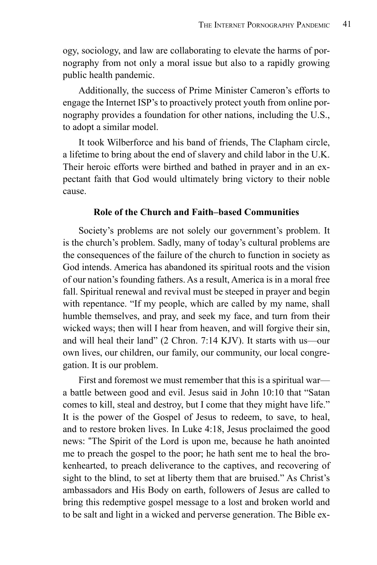ogy, sociology, and law are collaborating to elevate the harms of pornography from not only a moral issue but also to a rapidly growing public health pandemic.

Additionally, the success of Prime Minister Cameron's efforts to engage the Internet ISP's to proactively protect youth from online pornography provides a foundation for other nations, including the U.S., to adopt a similar model.

It took Wilberforce and his band of friends, The Clapham circle, a lifetime to bring about the end of slavery and child labor in the U.K. Their heroic efforts were birthed and bathed in prayer and in an expectant faith that God would ultimately bring victory to their noble cause.

#### **Role of the Church and Faith–based Communities**

Society's problems are not solely our government's problem. It is the church's problem. Sadly, many of today's cultural problems are the consequences of the failure of the church to function in society as God intends. America has abandoned its spiritual roots and the vision of our nation's founding fathers. As a result, America is in a moral free fall. Spiritual renewal and revival must be steeped in prayer and begin with repentance. "If my people, which are called by my name, shall humble themselves, and pray, and seek my face, and turn from their wicked ways; then will I hear from heaven, and will forgive their sin, and will heal their land" (2 Chron. 7:14 KJV). It starts with us—our own lives, our children, our family, our community, our local congregation. It is our problem.

First and foremost we must remember that this is a spiritual war a battle between good and evil. Jesus said in John 10:10 that "Satan comes to kill, steal and destroy, but I come that they might have life." It is the power of the Gospel of Jesus to redeem, to save, to heal, and to restore broken lives. In Luke 4:18, Jesus proclaimed the good news: "The Spirit of the Lord is upon me, because he hath anointed me to preach the gospel to the poor; he hath sent me to heal the brokenhearted, to preach deliverance to the captives, and recovering of sight to the blind, to set at liberty them that are bruised." As Christ's ambassadors and His Body on earth, followers of Jesus are called to bring this redemptive gospel message to a lost and broken world and to be salt and light in a wicked and perverse generation. The Bible ex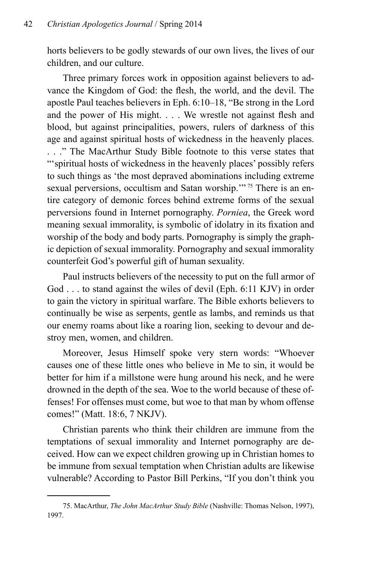horts believers to be godly stewards of our own lives, the lives of our children, and our culture.

Three primary forces work in opposition against believers to advance the Kingdom of God: the flesh, the world, and the devil. The apostle Paul teaches believers in Eph. 6:10–18, "Be strong in the Lord and the power of His might. . . . We wrestle not against flesh and blood, but against principalities, powers, rulers of darkness of this age and against spiritual hosts of wickedness in the heavenly places. . . ." The MacArthur Study Bible footnote to this verse states that "'spiritual hosts of wickedness in the heavenly places' possibly refers to such things as 'the most depraved abominations including extreme sexual perversions, occultism and Satan worship."<sup>75</sup> There is an entire category of demonic forces behind extreme forms of the sexual perversions found in Internet pornography. *Porniea*, the Greek word meaning sexual immorality, is symbolic of idolatry in its fixation and worship of the body and body parts. Pornography is simply the graphic depiction of sexual immorality. Pornography and sexual immorality counterfeit God's powerful gift of human sexuality.

Paul instructs believers of the necessity to put on the full armor of God . . . to stand against the wiles of devil (Eph. 6:11 KJV) in order to gain the victory in spiritual warfare. The Bible exhorts believers to continually be wise as serpents, gentle as lambs, and reminds us that our enemy roams about like a roaring lion, seeking to devour and destroy men, women, and children.

Moreover, Jesus Himself spoke very stern words: "Whoever causes one of these little ones who believe in Me to sin, it would be better for him if a millstone were hung around his neck, and he were drowned in the depth of the sea. Woe to the world because of these offenses! For offenses must come, but woe to that man by whom offense comes!" (Matt. 18:6, 7 NKJV).

Christian parents who think their children are immune from the temptations of sexual immorality and Internet pornography are deceived. How can we expect children growing up in Christian homes to be immune from sexual temptation when Christian adults are likewise vulnerable? According to Pastor Bill Perkins, "If you don't think you

<sup>75.</sup> MacArthur, *The John MacArthur Study Bible* (Nashville: Thomas Nelson, 1997), 1997.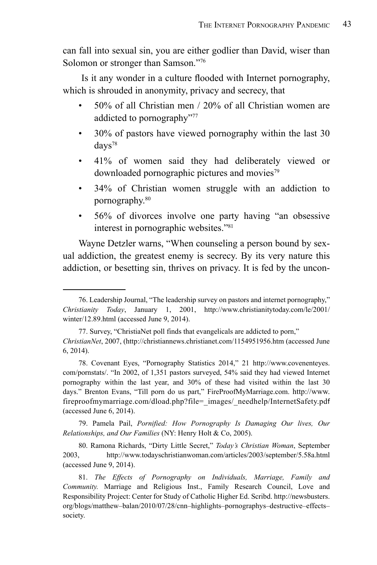can fall into sexual sin, you are either godlier than David, wiser than Solomon or stronger than Samson."76

 Is it any wonder in a culture flooded with Internet pornography, which is shrouded in anonymity, privacy and secrecy, that

- 50% of all Christian men / 20% of all Christian women are addicted to pornography"77
- 30% of pastors have viewed pornography within the last 30 days<sup>78</sup>
- 41% of women said they had deliberately viewed or downloaded pornographic pictures and movies $79$
- 34% of Christian women struggle with an addiction to pornography.80
- 56% of divorces involve one party having "an obsessive interest in pornographic websites."81

Wayne Detzler warns, "When counseling a person bound by sexual addiction, the greatest enemy is secrecy. By its very nature this addiction, or besetting sin, thrives on privacy. It is fed by the uncon-

79. Pamela Pail, *Pornified: How Pornography Is Damaging Our lives, Our Relationships, and Our Families* (NY: Henry Holt & Co, 2005).

<sup>76.</sup> Leadership Journal, "The leadership survey on pastors and internet pornography," *Christianity Today*, January 1, 2001, http://www.christianitytoday.com/le/2001/ winter/12.89.html (accessed June 9, 2014).

<sup>77.</sup> Survey, "ChristiaNet poll finds that evangelicals are addicted to porn," *ChristianNet*, 2007, (http://christiannews.christianet.com/1154951956.htm (accessed June 6, 2014).

<sup>78.</sup> Covenant Eyes, "Pornography Statistics 2014," 21 http://www.covenenteyes. com/pornstats/. "In 2002, of 1,351 pastors surveyed, 54% said they had viewed Internet pornography within the last year, and 30% of these had visited within the last 30 days." Brenton Evans, "Till porn do us part," FireProofMyMarriage.com. http://www. fireproofmymarriage.com/dload.php?file= images/ needhelp/InternetSafety.pdf (accessed June 6, 2014).

<sup>80.</sup> Ramona Richards, "Dirty Little Secret," *Today's Christian Woman*, September 2003, http://www.todayschristianwoman.com/articles/2003/september/5.58a.html (accessed June 9, 2014).

<sup>81.</sup> *The Effects of Pornography on Individuals, Marriage, Family and Community.* Marriage and Religious Inst., Family Research Council, Love and Responsibility Project: Center for Study of Catholic Higher Ed. Scribd. http://newsbusters. org/blogs/matthew–balan/2010/07/28/cnn–highlights–pornographys–destructive–effects– society.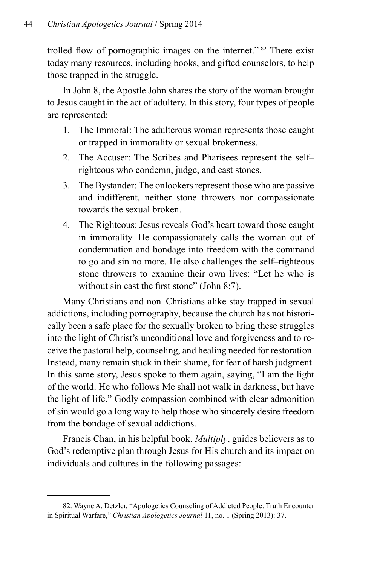trolled flow of pornographic images on the internet." 82 There exist today many resources, including books, and gifted counselors, to help those trapped in the struggle.

In John 8, the Apostle John shares the story of the woman brought to Jesus caught in the act of adultery. In this story, four types of people are represented:

- 1. The Immoral: The adulterous woman represents those caught or trapped in immorality or sexual brokenness.
- 2. The Accuser: The Scribes and Pharisees represent the self– righteous who condemn, judge, and cast stones.
- 3. The Bystander: The onlookers represent those who are passive and indifferent, neither stone throwers nor compassionate towards the sexual broken.
- 4. The Righteous: Jesus reveals God's heart toward those caught in immorality. He compassionately calls the woman out of condemnation and bondage into freedom with the command to go and sin no more. He also challenges the self–righteous stone throwers to examine their own lives: "Let he who is without sin cast the first stone" (John 8:7).

Many Christians and non–Christians alike stay trapped in sexual addictions, including pornography, because the church has not historically been a safe place for the sexually broken to bring these struggles into the light of Christ's unconditional love and forgiveness and to receive the pastoral help, counseling, and healing needed for restoration. Instead, many remain stuck in their shame, for fear of harsh judgment. In this same story, Jesus spoke to them again, saying, "I am the light of the world. He who follows Me shall not walk in darkness, but have the light of life." Godly compassion combined with clear admonition of sin would go a long way to help those who sincerely desire freedom from the bondage of sexual addictions.

Francis Chan, in his helpful book, *Multiply*, guides believers as to God's redemptive plan through Jesus for His church and its impact on individuals and cultures in the following passages:

<sup>82.</sup> Wayne A. Detzler, "Apologetics Counseling of Addicted People: Truth Encounter in Spiritual Warfare," *Christian Apologetics Journal* 11, no. 1 (Spring 2013): 37.